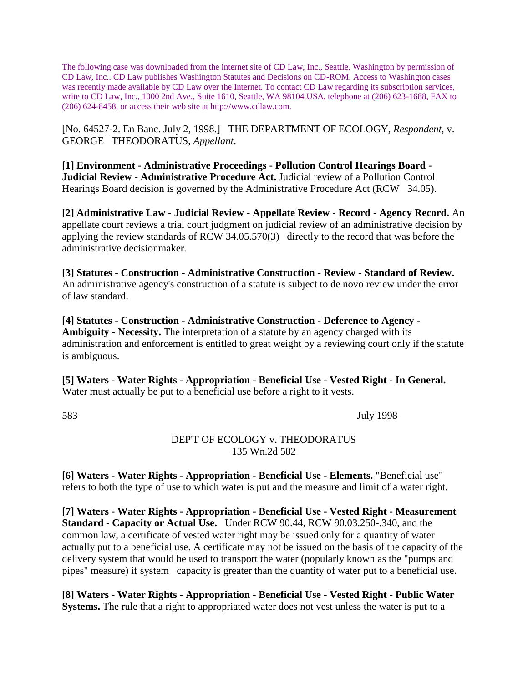The following case was downloaded from the internet site of CD Law, Inc., Seattle, Washington by permission of CD Law, Inc.. CD Law publishes Washington Statutes and Decisions on CD-ROM. Access to Washington cases was recently made available by CD Law over the Internet. To contact CD Law regarding its subscription services, write to CD Law, Inc., 1000 2nd Ave., Suite 1610, Seattle, WA 98104 USA, telephone at (206) 623-1688, FAX to (206) 624-8458, or access their web site at http://www.cdlaw.com.

[No. 64527-2. En Banc. July 2, 1998.] THE DEPARTMENT OF ECOLOGY, *Respondent*, v. GEORGE THEODORATUS, *Appellant*.

**[1] Environment - Administrative Proceedings - Pollution Control Hearings Board - Judicial Review - Administrative Procedure Act.** Judicial review of a Pollution Control Hearings Board decision is governed by the Administrative Procedure Act (RCW 34.05).

**[2] Administrative Law - Judicial Review - Appellate Review - Record - Agency Record.** An appellate court reviews a trial court judgment on judicial review of an administrative decision by applying the review standards of RCW 34.05.570(3) directly to the record that was before the administrative decisionmaker.

**[3] Statutes - Construction - Administrative Construction - Review - Standard of Review.** An administrative agency's construction of a statute is subject to de novo review under the error of law standard.

**[4] Statutes - Construction - Administrative Construction - Deference to Agency - Ambiguity - Necessity.** The interpretation of a statute by an agency charged with its administration and enforcement is entitled to great weight by a reviewing court only if the statute is ambiguous.

**[5] Waters - Water Rights - Appropriation - Beneficial Use - Vested Right - In General.** Water must actually be put to a beneficial use before a right to it vests.

583 July 1998

# DEP'T OF ECOLOGY v. THEODORATUS 135 Wn.2d 582

**[6] Waters - Water Rights - Appropriation - Beneficial Use - Elements.** "Beneficial use" refers to both the type of use to which water is put and the measure and limit of a water right.

**[7] Waters - Water Rights - Appropriation - Beneficial Use - Vested Right - Measurement Standard - Capacity or Actual Use.** Under RCW 90.44, RCW 90.03.250-.340, and the common law, a certificate of vested water right may be issued only for a quantity of water actually put to a beneficial use. A certificate may not be issued on the basis of the capacity of the delivery system that would be used to transport the water (popularly known as the "pumps and pipes" measure) if system capacity is greater than the quantity of water put to a beneficial use.

**[8] Waters - Water Rights - Appropriation - Beneficial Use - Vested Right - Public Water Systems.** The rule that a right to appropriated water does not vest unless the water is put to a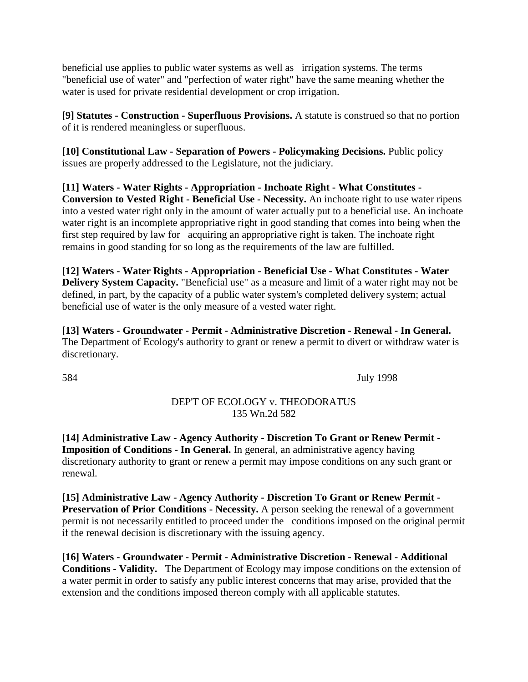beneficial use applies to public water systems as well as irrigation systems. The terms "beneficial use of water" and "perfection of water right" have the same meaning whether the water is used for private residential development or crop irrigation.

**[9] Statutes - Construction - Superfluous Provisions.** A statute is construed so that no portion of it is rendered meaningless or superfluous.

**[10] Constitutional Law - Separation of Powers - Policymaking Decisions.** Public policy issues are properly addressed to the Legislature, not the judiciary.

**[11] Waters - Water Rights - Appropriation - Inchoate Right - What Constitutes - Conversion to Vested Right - Beneficial Use - Necessity.** An inchoate right to use water ripens into a vested water right only in the amount of water actually put to a beneficial use. An inchoate water right is an incomplete appropriative right in good standing that comes into being when the first step required by law for acquiring an appropriative right is taken. The inchoate right remains in good standing for so long as the requirements of the law are fulfilled.

**[12] Waters - Water Rights - Appropriation - Beneficial Use - What Constitutes - Water Delivery System Capacity.** "Beneficial use" as a measure and limit of a water right may not be defined, in part, by the capacity of a public water system's completed delivery system; actual beneficial use of water is the only measure of a vested water right.

**[13] Waters - Groundwater - Permit - Administrative Discretion - Renewal - In General.** The Department of Ecology's authority to grant or renew a permit to divert or withdraw water is discretionary.

584 July 1998

# DEP'T OF ECOLOGY v. THEODORATUS 135 Wn.2d 582

**[14] Administrative Law - Agency Authority - Discretion To Grant or Renew Permit - Imposition of Conditions - In General.** In general, an administrative agency having discretionary authority to grant or renew a permit may impose conditions on any such grant or renewal.

**[15] Administrative Law - Agency Authority - Discretion To Grant or Renew Permit - Preservation of Prior Conditions - Necessity.** A person seeking the renewal of a government permit is not necessarily entitled to proceed under the conditions imposed on the original permit if the renewal decision is discretionary with the issuing agency.

**[16] Waters - Groundwater - Permit - Administrative Discretion - Renewal - Additional Conditions - Validity.** The Department of Ecology may impose conditions on the extension of a water permit in order to satisfy any public interest concerns that may arise, provided that the extension and the conditions imposed thereon comply with all applicable statutes.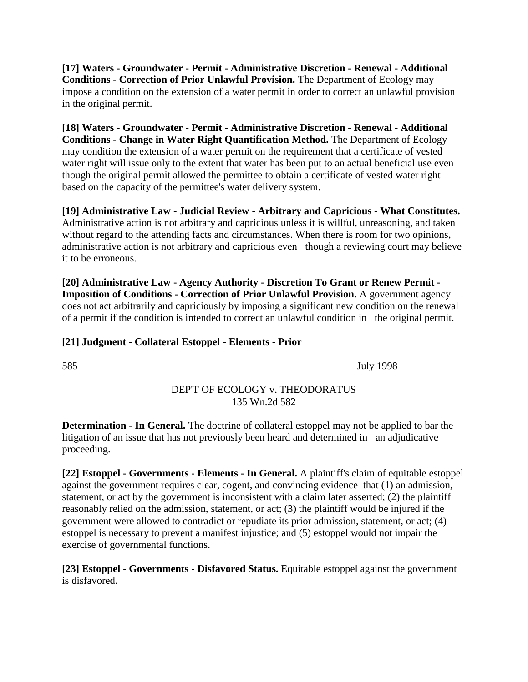**[17] Waters - Groundwater - Permit - Administrative Discretion - Renewal - Additional Conditions - Correction of Prior Unlawful Provision.** The Department of Ecology may impose a condition on the extension of a water permit in order to correct an unlawful provision in the original permit.

**[18] Waters - Groundwater - Permit - Administrative Discretion - Renewal - Additional Conditions - Change in Water Right Quantification Method.** The Department of Ecology may condition the extension of a water permit on the requirement that a certificate of vested water right will issue only to the extent that water has been put to an actual beneficial use even though the original permit allowed the permittee to obtain a certificate of vested water right based on the capacity of the permittee's water delivery system.

**[19] Administrative Law - Judicial Review - Arbitrary and Capricious - What Constitutes.** Administrative action is not arbitrary and capricious unless it is willful, unreasoning, and taken without regard to the attending facts and circumstances. When there is room for two opinions, administrative action is not arbitrary and capricious even though a reviewing court may believe it to be erroneous.

**[20] Administrative Law - Agency Authority - Discretion To Grant or Renew Permit - Imposition of Conditions - Correction of Prior Unlawful Provision.** A government agency does not act arbitrarily and capriciously by imposing a significant new condition on the renewal of a permit if the condition is intended to correct an unlawful condition in the original permit.

# **[21] Judgment - Collateral Estoppel - Elements - Prior**

585 July 1998

# DEP'T OF ECOLOGY v. THEODORATUS 135 Wn.2d 582

**Determination - In General.** The doctrine of collateral estoppel may not be applied to bar the litigation of an issue that has not previously been heard and determined in an adjudicative proceeding.

**[22] Estoppel - Governments - Elements - In General.** A plaintiff's claim of equitable estoppel against the government requires clear, cogent, and convincing evidence that (1) an admission, statement, or act by the government is inconsistent with a claim later asserted; (2) the plaintiff reasonably relied on the admission, statement, or act; (3) the plaintiff would be injured if the government were allowed to contradict or repudiate its prior admission, statement, or act; (4) estoppel is necessary to prevent a manifest injustice; and (5) estoppel would not impair the exercise of governmental functions.

**[23] Estoppel - Governments - Disfavored Status.** Equitable estoppel against the government is disfavored.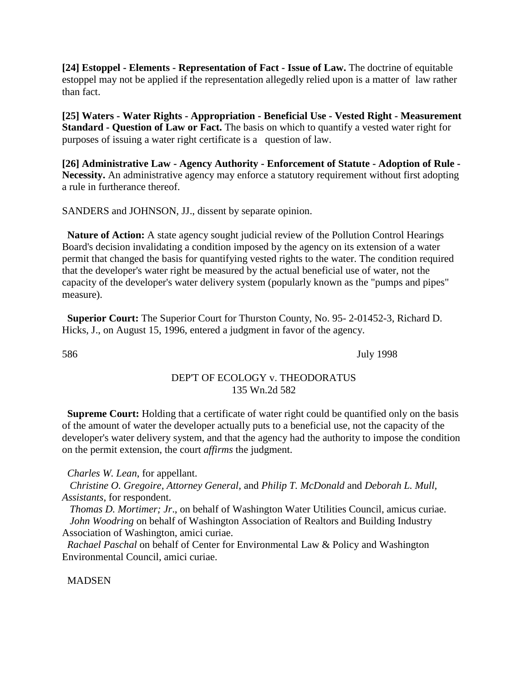**[24] Estoppel - Elements - Representation of Fact - Issue of Law.** The doctrine of equitable estoppel may not be applied if the representation allegedly relied upon is a matter of law rather than fact.

**[25] Waters - Water Rights - Appropriation - Beneficial Use - Vested Right - Measurement Standard - Question of Law or Fact.** The basis on which to quantify a vested water right for purposes of issuing a water right certificate is a question of law.

**[26] Administrative Law - Agency Authority - Enforcement of Statute - Adoption of Rule - Necessity.** An administrative agency may enforce a statutory requirement without first adopting a rule in furtherance thereof.

SANDERS and JOHNSON, JJ., dissent by separate opinion.

**Nature of Action:** A state agency sought judicial review of the Pollution Control Hearings Board's decision invalidating a condition imposed by the agency on its extension of a water permit that changed the basis for quantifying vested rights to the water. The condition required that the developer's water right be measured by the actual beneficial use of water, not the capacity of the developer's water delivery system (popularly known as the "pumps and pipes" measure).

**Superior Court:** The Superior Court for Thurston County, No. 95- 2-01452-3, Richard D. Hicks, J., on August 15, 1996, entered a judgment in favor of the agency.

586 July 1998

## DEP'T OF ECOLOGY v. THEODORATUS 135 Wn.2d 582

**Supreme Court:** Holding that a certificate of water right could be quantified only on the basis of the amount of water the developer actually puts to a beneficial use, not the capacity of the developer's water delivery system, and that the agency had the authority to impose the condition on the permit extension, the court *affirms* the judgment.

*Charles W. Lean*, for appellant.

 *Christine O. Gregoire, Attorney General*, and *Philip T. McDonald* and *Deborah L. Mull, Assistants*, for respondent.

 *Thomas D. Mortimer; Jr*., on behalf of Washington Water Utilities Council, amicus curiae. *John Woodring* on behalf of Washington Association of Realtors and Building Industry Association of Washington, amici curiae.

*Rachael Paschal* on behalf of Center for Environmental Law & Policy and Washington Environmental Council, amici curiae.

**MADSEN**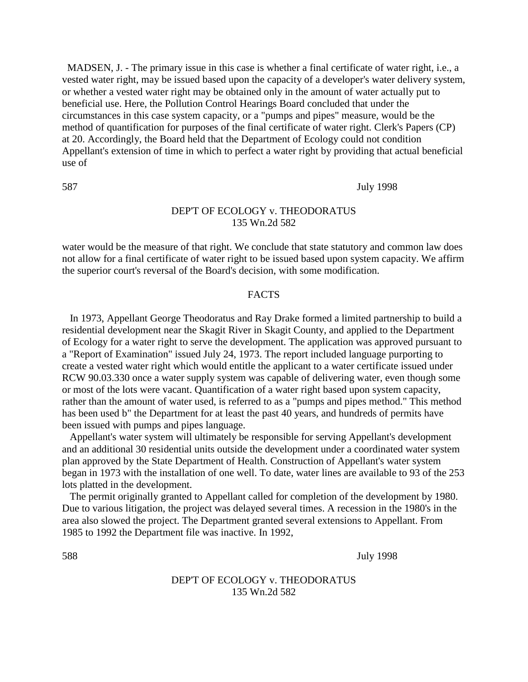MADSEN, J. - The primary issue in this case is whether a final certificate of water right, i.e., a vested water right, may be issued based upon the capacity of a developer's water delivery system, or whether a vested water right may be obtained only in the amount of water actually put to beneficial use. Here, the Pollution Control Hearings Board concluded that under the circumstances in this case system capacity, or a "pumps and pipes" measure, would be the method of quantification for purposes of the final certificate of water right. Clerk's Papers (CP) at 20. Accordingly, the Board held that the Department of Ecology could not condition Appellant's extension of time in which to perfect a water right by providing that actual beneficial use of

### 587 July 1998

# DEP'T OF ECOLOGY v. THEODORATUS 135 Wn.2d 582

water would be the measure of that right. We conclude that state statutory and common law does not allow for a final certificate of water right to be issued based upon system capacity. We affirm the superior court's reversal of the Board's decision, with some modification.

# FACTS

 In 1973, Appellant George Theodoratus and Ray Drake formed a limited partnership to build a residential development near the Skagit River in Skagit County, and applied to the Department of Ecology for a water right to serve the development. The application was approved pursuant to a "Report of Examination" issued July 24, 1973. The report included language purporting to create a vested water right which would entitle the applicant to a water certificate issued under RCW 90.03.330 once a water supply system was capable of delivering water, even though some or most of the lots were vacant. Quantification of a water right based upon system capacity, rather than the amount of water used, is referred to as a "pumps and pipes method." This method has been used b" the Department for at least the past 40 years, and hundreds of permits have been issued with pumps and pipes language.

 Appellant's water system will ultimately be responsible for serving Appellant's development and an additional 30 residential units outside the development under a coordinated water system plan approved by the State Department of Health. Construction of Appellant's water system began in 1973 with the installation of one well. To date, water lines are available to 93 of the 253 lots platted in the development.

 The permit originally granted to Appellant called for completion of the development by 1980. Due to various litigation, the project was delayed several times. A recession in the 1980's in the area also slowed the project. The Department granted several extensions to Appellant. From 1985 to 1992 the Department file was inactive. In 1992,

588 July 1998

## DEP'T OF ECOLOGY v. THEODORATUS 135 Wn.2d 582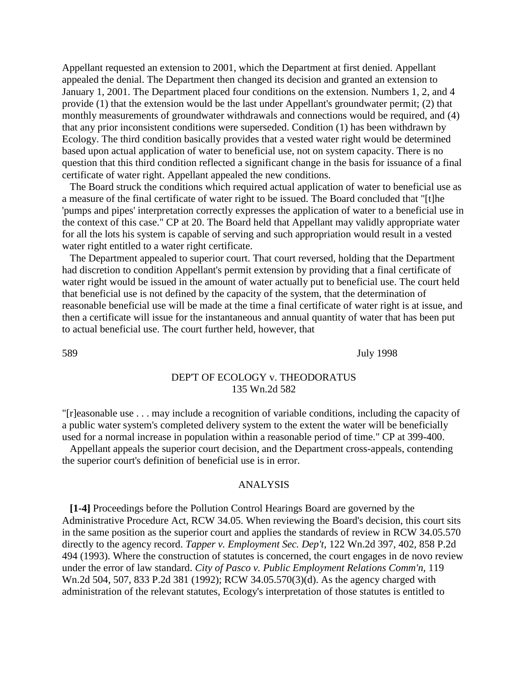Appellant requested an extension to 2001, which the Department at first denied. Appellant appealed the denial. The Department then changed its decision and granted an extension to January 1, 2001. The Department placed four conditions on the extension. Numbers 1, 2, and 4 provide (1) that the extension would be the last under Appellant's groundwater permit; (2) that monthly measurements of groundwater withdrawals and connections would be required, and (4) that any prior inconsistent conditions were superseded. Condition (1) has been withdrawn by Ecology. The third condition basically provides that a vested water right would be determined based upon actual application of water to beneficial use, not on system capacity. There is no question that this third condition reflected a significant change in the basis for issuance of a final certificate of water right. Appellant appealed the new conditions.

 The Board struck the conditions which required actual application of water to beneficial use as a measure of the final certificate of water right to be issued. The Board concluded that "[t]he 'pumps and pipes' interpretation correctly expresses the application of water to a beneficial use in the context of this case." CP at 20. The Board held that Appellant may validly appropriate water for all the lots his system is capable of serving and such appropriation would result in a vested water right entitled to a water right certificate.

 The Department appealed to superior court. That court reversed, holding that the Department had discretion to condition Appellant's permit extension by providing that a final certificate of water right would be issued in the amount of water actually put to beneficial use. The court held that beneficial use is not defined by the capacity of the system, that the determination of reasonable beneficial use will be made at the time a final certificate of water right is at issue, and then a certificate will issue for the instantaneous and annual quantity of water that has been put to actual beneficial use. The court further held, however, that

589 July 1998

### DEP'T OF ECOLOGY v. THEODORATUS 135 Wn.2d 582

"[r]easonable use . . . may include a recognition of variable conditions, including the capacity of a public water system's completed delivery system to the extent the water will be beneficially used for a normal increase in population within a reasonable period of time." CP at 399-400.

 Appellant appeals the superior court decision, and the Department cross-appeals, contending the superior court's definition of beneficial use is in error.

#### ANALYSIS

 **[1-4]** Proceedings before the Pollution Control Hearings Board are governed by the Administrative Procedure Act, RCW 34.05. When reviewing the Board's decision, this court sits in the same position as the superior court and applies the standards of review in RCW 34.05.570 directly to the agency record. *Tapper v. Employment Sec. Dep't*, 122 Wn.2d 397, 402, 858 P.2d 494 (1993). Where the construction of statutes is concerned, the court engages in de novo review under the error of law standard. *City of Pasco v. Public Employment Relations Comm'n*, 119 Wn.2d 504, 507, 833 P.2d 381 (1992); RCW 34.05.570(3)(d). As the agency charged with administration of the relevant statutes, Ecology's interpretation of those statutes is entitled to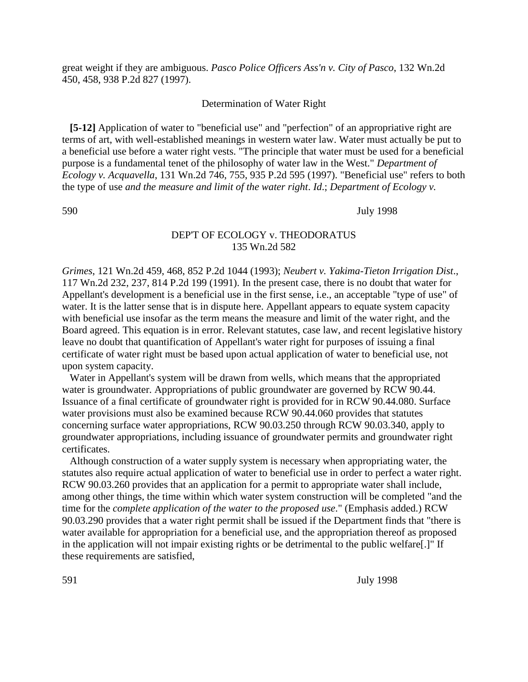great weight if they are ambiguous. *Pasco Police Officers Ass'n v. City of Pasco*, 132 Wn.2d 450, 458, 938 P.2d 827 (1997).

#### Determination of Water Right

 **[5-12]** Application of water to "beneficial use" and "perfection" of an appropriative right are terms of art, with well-established meanings in western water law. Water must actually be put to a beneficial use before a water right vests. "The principle that water must be used for a beneficial purpose is a fundamental tenet of the philosophy of water law in the West." *Department of Ecology v. Acquavella*, 131 Wn.2d 746, 755, 935 P.2d 595 (1997). "Beneficial use" refers to both the type of use *and the measure and limit of the water right*. *Id*.; *Department of Ecology v.*

590 July 1998

# DEP'T OF ECOLOGY v. THEODORATUS 135 Wn.2d 582

*Grimes*, 121 Wn.2d 459, 468, 852 P.2d 1044 (1993); *Neubert v. Yakima-Tieton Irrigation Dist*., 117 Wn.2d 232, 237, 814 P.2d 199 (1991). In the present case, there is no doubt that water for Appellant's development is a beneficial use in the first sense, i.e., an acceptable "type of use" of water. It is the latter sense that is in dispute here. Appellant appears to equate system capacity with beneficial use insofar as the term means the measure and limit of the water right, and the Board agreed. This equation is in error. Relevant statutes, case law, and recent legislative history leave no doubt that quantification of Appellant's water right for purposes of issuing a final certificate of water right must be based upon actual application of water to beneficial use, not upon system capacity.

 Water in Appellant's system will be drawn from wells, which means that the appropriated water is groundwater. Appropriations of public groundwater are governed by RCW 90.44. Issuance of a final certificate of groundwater right is provided for in RCW 90.44.080. Surface water provisions must also be examined because RCW 90.44.060 provides that statutes concerning surface water appropriations, RCW 90.03.250 through RCW 90.03.340, apply to groundwater appropriations, including issuance of groundwater permits and groundwater right certificates.

 Although construction of a water supply system is necessary when appropriating water, the statutes also require actual application of water to beneficial use in order to perfect a water right. RCW 90.03.260 provides that an application for a permit to appropriate water shall include, among other things, the time within which water system construction will be completed "and the time for the *complete application of the water to the proposed use*." (Emphasis added.) RCW 90.03.290 provides that a water right permit shall be issued if the Department finds that "there is water available for appropriation for a beneficial use, and the appropriation thereof as proposed in the application will not impair existing rights or be detrimental to the public welfare[.]" If these requirements are satisfied,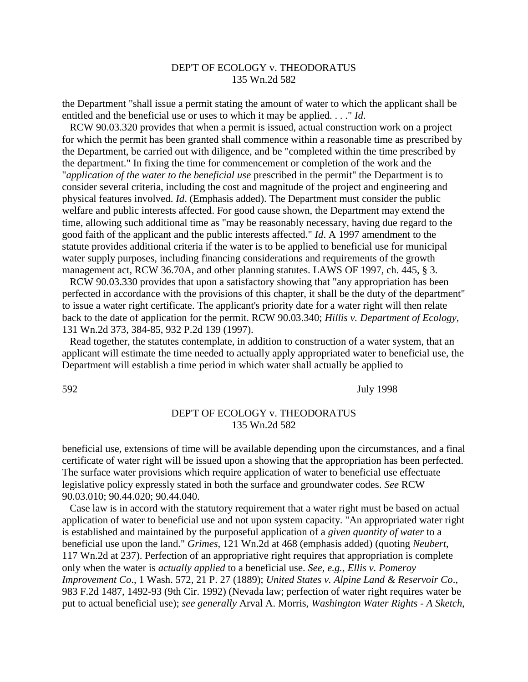# DEP'T OF ECOLOGY v. THEODORATUS 135 Wn.2d 582

the Department "shall issue a permit stating the amount of water to which the applicant shall be entitled and the beneficial use or uses to which it may be applied. . . ." *Id*.

 RCW 90.03.320 provides that when a permit is issued, actual construction work on a project for which the permit has been granted shall commence within a reasonable time as prescribed by the Department, be carried out with diligence, and be "completed within the time prescribed by the department." In fixing the time for commencement or completion of the work and the "*application of the water to the beneficial use* prescribed in the permit" the Department is to consider several criteria, including the cost and magnitude of the project and engineering and physical features involved. *Id*. (Emphasis added). The Department must consider the public welfare and public interests affected. For good cause shown, the Department may extend the time, allowing such additional time as "may be reasonably necessary, having due regard to the good faith of the applicant and the public interests affected." *Id*. A 1997 amendment to the statute provides additional criteria if the water is to be applied to beneficial use for municipal water supply purposes, including financing considerations and requirements of the growth management act, RCW 36.70A, and other planning statutes. LAWS OF 1997, ch. 445, § 3.

 RCW 90.03.330 provides that upon a satisfactory showing that "any appropriation has been perfected in accordance with the provisions of this chapter, it shall be the duty of the department" to issue a water right certificate. The applicant's priority date for a water right will then relate back to the date of application for the permit. RCW 90.03.340; *Hillis v. Department of Ecology*, 131 Wn.2d 373, 384-85, 932 P.2d 139 (1997).

 Read together, the statutes contemplate, in addition to construction of a water system, that an applicant will estimate the time needed to actually apply appropriated water to beneficial use, the Department will establish a time period in which water shall actually be applied to

592 July 1998

## DEP'T OF ECOLOGY v. THEODORATUS 135 Wn.2d 582

beneficial use, extensions of time will be available depending upon the circumstances, and a final certificate of water right will be issued upon a showing that the appropriation has been perfected. The surface water provisions which require application of water to beneficial use effectuate legislative policy expressly stated in both the surface and groundwater codes. *See* RCW 90.03.010; 90.44.020; 90.44.040.

 Case law is in accord with the statutory requirement that a water right must be based on actual application of water to beneficial use and not upon system capacity. "An appropriated water right is established and maintained by the purposeful application of a *given quantity of water* to a beneficial use upon the land." *Grimes*, 121 Wn.2d at 468 (emphasis added) (quoting *Neubert*, 117 Wn.2d at 237). Perfection of an appropriative right requires that appropriation is complete only when the water is *actually applied* to a beneficial use. *See, e.g., Ellis v. Pomeroy Improvement Co*., 1 Wash. 572, 21 P. 27 (1889); *United States v. Alpine Land & Reservoir Co*., 983 F.2d 1487, 1492-93 (9th Cir. 1992) (Nevada law; perfection of water right requires water be put to actual beneficial use); *see generally* Arval A. Morris, *Washington Water Rights - A Sketch*,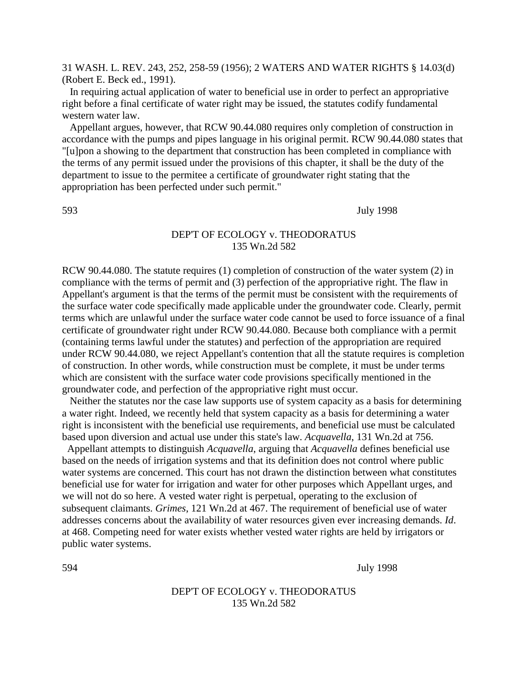31 WASH. L. REV. 243, 252, 258-59 (1956); 2 WATERS AND WATER RIGHTS § 14.03(d) (Robert E. Beck ed., 1991).

 In requiring actual application of water to beneficial use in order to perfect an appropriative right before a final certificate of water right may be issued, the statutes codify fundamental western water law.

 Appellant argues, however, that RCW 90.44.080 requires only completion of construction in accordance with the pumps and pipes language in his original permit. RCW 90.44.080 states that "[u]pon a showing to the department that construction has been completed in compliance with the terms of any permit issued under the provisions of this chapter, it shall be the duty of the department to issue to the permitee a certificate of groundwater right stating that the appropriation has been perfected under such permit."

593 July 1998

## DEP'T OF ECOLOGY v. THEODORATUS 135 Wn.2d 582

RCW 90.44.080. The statute requires (1) completion of construction of the water system (2) in compliance with the terms of permit and (3) perfection of the appropriative right. The flaw in Appellant's argument is that the terms of the permit must be consistent with the requirements of the surface water code specifically made applicable under the groundwater code. Clearly, permit terms which are unlawful under the surface water code cannot be used to force issuance of a final certificate of groundwater right under RCW 90.44.080. Because both compliance with a permit (containing terms lawful under the statutes) and perfection of the appropriation are required under RCW 90.44.080, we reject Appellant's contention that all the statute requires is completion of construction. In other words, while construction must be complete, it must be under terms which are consistent with the surface water code provisions specifically mentioned in the groundwater code, and perfection of the appropriative right must occur.

 Neither the statutes nor the case law supports use of system capacity as a basis for determining a water right. Indeed, we recently held that system capacity as a basis for determining a water right is inconsistent with the beneficial use requirements, and beneficial use must be calculated based upon diversion and actual use under this state's law. *Acquavella*, 131 Wn.2d at 756.

Appellant attempts to distinguish *Acquavella*, arguing that *Acquavella* defines beneficial use based on the needs of irrigation systems and that its definition does not control where public water systems are concerned. This court has not drawn the distinction between what constitutes beneficial use for water for irrigation and water for other purposes which Appellant urges, and we will not do so here. A vested water right is perpetual, operating to the exclusion of subsequent claimants. *Grimes*, 121 Wn.2d at 467. The requirement of beneficial use of water addresses concerns about the availability of water resources given ever increasing demands. *Id*. at 468. Competing need for water exists whether vested water rights are held by irrigators or public water systems.

594 July 1998

DEP'T OF ECOLOGY v. THEODORATUS 135 Wn.2d 582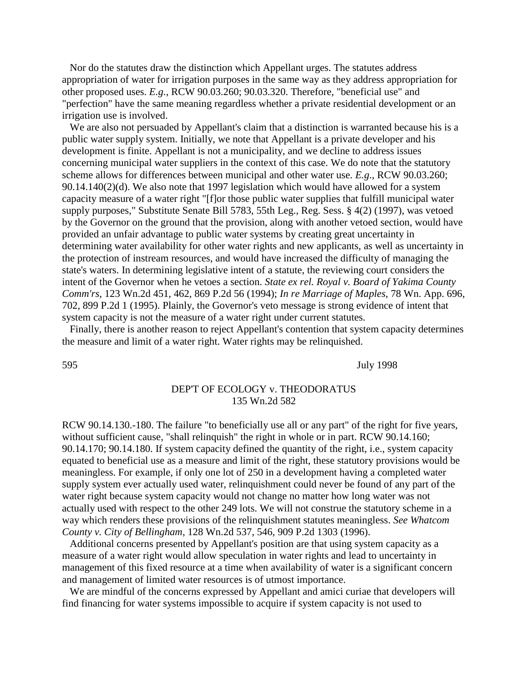Nor do the statutes draw the distinction which Appellant urges. The statutes address appropriation of water for irrigation purposes in the same way as they address appropriation for other proposed uses. *E.g*., RCW 90.03.260; 90.03.320. Therefore, "beneficial use" and "perfection" have the same meaning regardless whether a private residential development or an irrigation use is involved.

 We are also not persuaded by Appellant's claim that a distinction is warranted because his is a public water supply system. Initially, we note that Appellant is a private developer and his development is finite. Appellant is not a municipality, and we decline to address issues concerning municipal water suppliers in the context of this case. We do note that the statutory scheme allows for differences between municipal and other water use. *E.g*., RCW 90.03.260; 90.14.140(2)(d). We also note that 1997 legislation which would have allowed for a system capacity measure of a water right "[f]or those public water supplies that fulfill municipal water supply purposes," Substitute Senate Bill 5783, 55th Leg., Reg. Sess. § 4(2) (1997), was vetoed by the Governor on the ground that the provision, along with another vetoed section, would have provided an unfair advantage to public water systems by creating great uncertainty in determining water availability for other water rights and new applicants, as well as uncertainty in the protection of instream resources, and would have increased the difficulty of managing the state's waters. In determining legislative intent of a statute, the reviewing court considers the intent of the Governor when he vetoes a section. *State ex rel. Royal v. Board of Yakima County Comm'rs*, 123 Wn.2d 451, 462, 869 P.2d 56 (1994); *In re Marriage of Maples*, 78 Wn. App. 696, 702, 899 P.2d 1 (1995). Plainly, the Governor's veto message is strong evidence of intent that system capacity is not the measure of a water right under current statutes.

 Finally, there is another reason to reject Appellant's contention that system capacity determines the measure and limit of a water right. Water rights may be relinquished.

595 July 1998

### DEP'T OF ECOLOGY v. THEODORATUS 135 Wn.2d 582

RCW 90.14.130.-180. The failure "to beneficially use all or any part" of the right for five years, without sufficient cause, "shall relinquish" the right in whole or in part. RCW 90.14.160; 90.14.170; 90.14.180. If system capacity defined the quantity of the right, i.e., system capacity equated to beneficial use as a measure and limit of the right, these statutory provisions would be meaningless. For example, if only one lot of 250 in a development having a completed water supply system ever actually used water, relinquishment could never be found of any part of the water right because system capacity would not change no matter how long water was not actually used with respect to the other 249 lots. We will not construe the statutory scheme in a way which renders these provisions of the relinquishment statutes meaningless. *See Whatcom County v. City of Bellingham*, 128 Wn.2d 537, 546, 909 P.2d 1303 (1996).

 Additional concerns presented by Appellant's position are that using system capacity as a measure of a water right would allow speculation in water rights and lead to uncertainty in management of this fixed resource at a time when availability of water is a significant concern and management of limited water resources is of utmost importance.

 We are mindful of the concerns expressed by Appellant and amici curiae that developers will find financing for water systems impossible to acquire if system capacity is not used to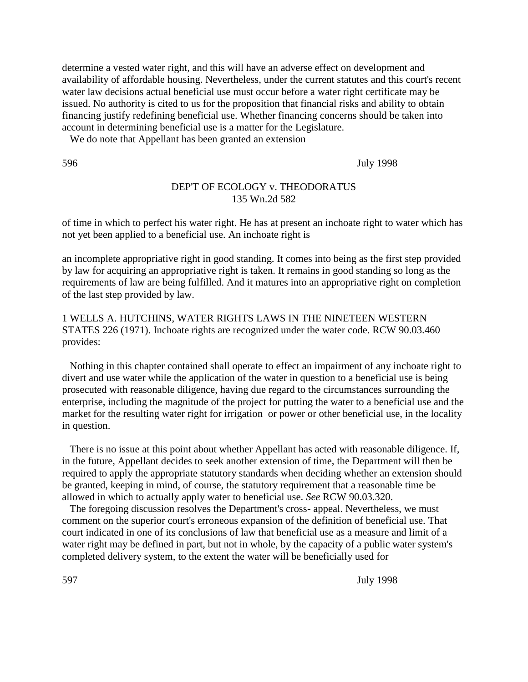determine a vested water right, and this will have an adverse effect on development and availability of affordable housing. Nevertheless, under the current statutes and this court's recent water law decisions actual beneficial use must occur before a water right certificate may be issued. No authority is cited to us for the proposition that financial risks and ability to obtain financing justify redefining beneficial use. Whether financing concerns should be taken into account in determining beneficial use is a matter for the Legislature.

We do note that Appellant has been granted an extension

596 July 1998

## DEP'T OF ECOLOGY v. THEODORATUS 135 Wn.2d 582

of time in which to perfect his water right. He has at present an inchoate right to water which has not yet been applied to a beneficial use. An inchoate right is

an incomplete appropriative right in good standing. It comes into being as the first step provided by law for acquiring an appropriative right is taken. It remains in good standing so long as the requirements of law are being fulfilled. And it matures into an appropriative right on completion of the last step provided by law.

1 WELLS A. HUTCHINS, WATER RIGHTS LAWS IN THE NINETEEN WESTERN STATES 226 (1971). Inchoate rights are recognized under the water code. RCW 90.03.460 provides:

 Nothing in this chapter contained shall operate to effect an impairment of any inchoate right to divert and use water while the application of the water in question to a beneficial use is being prosecuted with reasonable diligence, having due regard to the circumstances surrounding the enterprise, including the magnitude of the project for putting the water to a beneficial use and the market for the resulting water right for irrigation or power or other beneficial use, in the locality in question.

 There is no issue at this point about whether Appellant has acted with reasonable diligence. If, in the future, Appellant decides to seek another extension of time, the Department will then be required to apply the appropriate statutory standards when deciding whether an extension should be granted, keeping in mind, of course, the statutory requirement that a reasonable time be allowed in which to actually apply water to beneficial use. *See* RCW 90.03.320.

 The foregoing discussion resolves the Department's cross- appeal. Nevertheless, we must comment on the superior court's erroneous expansion of the definition of beneficial use. That court indicated in one of its conclusions of law that beneficial use as a measure and limit of a water right may be defined in part, but not in whole, by the capacity of a public water system's completed delivery system, to the extent the water will be beneficially used for

597 July 1998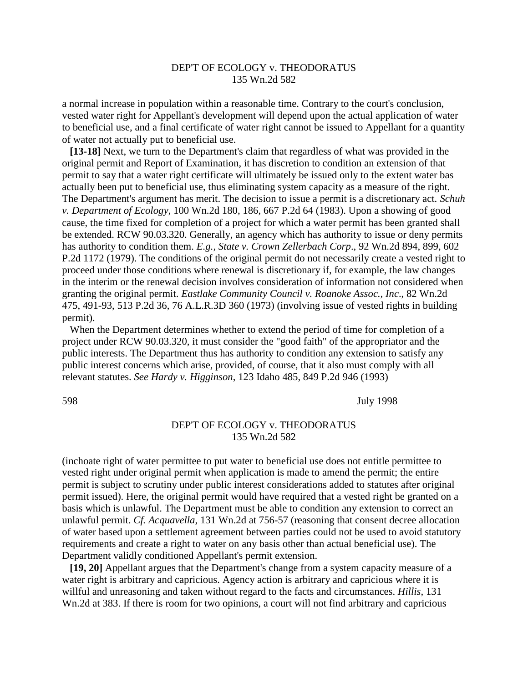# DEP'T OF ECOLOGY v. THEODORATUS 135 Wn.2d 582

a normal increase in population within a reasonable time. Contrary to the court's conclusion, vested water right for Appellant's development will depend upon the actual application of water to beneficial use, and a final certificate of water right cannot be issued to Appellant for a quantity of water not actually put to beneficial use.

 **[13-18]** Next, we turn to the Department's claim that regardless of what was provided in the original permit and Report of Examination, it has discretion to condition an extension of that permit to say that a water right certificate will ultimately be issued only to the extent water bas actually been put to beneficial use, thus eliminating system capacity as a measure of the right. The Department's argument has merit. The decision to issue a permit is a discretionary act. *Schuh v. Department of Ecology*, 100 Wn.2d 180, 186, 667 P.2d 64 (1983). Upon a showing of good cause, the time fixed for completion of a project for which a water permit has been granted shall be extended. RCW 90.03.320. Generally, an agency which has authority to issue or deny permits has authority to condition them. *E.g., State v. Crown Zellerbach Corp*., 92 Wn.2d 894, 899, 602 P.2d 1172 (1979). The conditions of the original permit do not necessarily create a vested right to proceed under those conditions where renewal is discretionary if, for example, the law changes in the interim or the renewal decision involves consideration of information not considered when granting the original permit. *Eastlake Community Council v. Roanoke Assoc., Inc*., 82 Wn.2d 475, 491-93, 513 P.2d 36, 76 A.L.R.3D 360 (1973) (involving issue of vested rights in building permit).

 When the Department determines whether to extend the period of time for completion of a project under RCW 90.03.320, it must consider the "good faith" of the appropriator and the public interests. The Department thus has authority to condition any extension to satisfy any public interest concerns which arise, provided, of course, that it also must comply with all relevant statutes. *See Hardy v. Higginson*, 123 Idaho 485, 849 P.2d 946 (1993)

598 July 1998

### DEP'T OF ECOLOGY v. THEODORATUS 135 Wn.2d 582

(inchoate right of water permittee to put water to beneficial use does not entitle permittee to vested right under original permit when application is made to amend the permit; the entire permit is subject to scrutiny under public interest considerations added to statutes after original permit issued). Here, the original permit would have required that a vested right be granted on a basis which is unlawful. The Department must be able to condition any extension to correct an unlawful permit. *Cf. Acquavella*, 131 Wn.2d at 756-57 (reasoning that consent decree allocation of water based upon a settlement agreement between parties could not be used to avoid statutory requirements and create a right to water on any basis other than actual beneficial use). The Department validly conditioned Appellant's permit extension.

 **[19, 20]** Appellant argues that the Department's change from a system capacity measure of a water right is arbitrary and capricious. Agency action is arbitrary and capricious where it is willful and unreasoning and taken without regard to the facts and circumstances. *Hillis*, 131 Wn.2d at 383. If there is room for two opinions, a court will not find arbitrary and capricious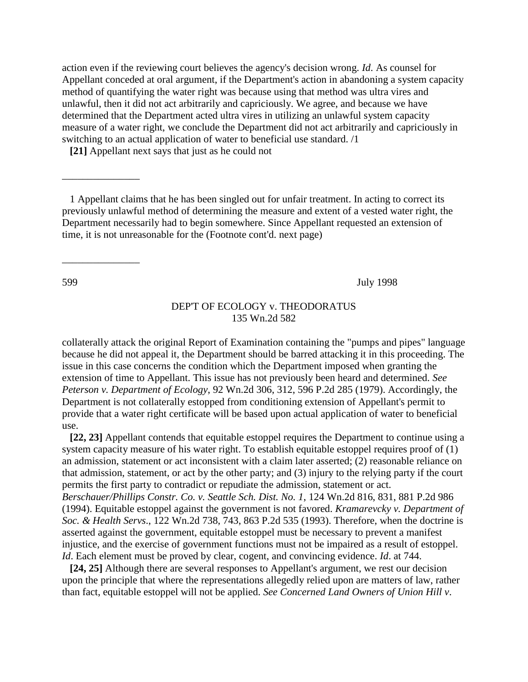action even if the reviewing court believes the agency's decision wrong. *Id*. As counsel for Appellant conceded at oral argument, if the Department's action in abandoning a system capacity method of quantifying the water right was because using that method was ultra vires and unlawful, then it did not act arbitrarily and capriciously. We agree, and because we have determined that the Department acted ultra vires in utilizing an unlawful system capacity measure of a water right, we conclude the Department did not act arbitrarily and capriciously in switching to an actual application of water to beneficial use standard. /1

**[21]** Appellant next says that just as he could not

 $\overline{\phantom{a}}$  , where  $\overline{\phantom{a}}$ 

\_\_\_\_\_\_\_\_\_\_\_\_\_\_\_

599 July 1998

### DEP'T OF ECOLOGY v. THEODORATUS 135 Wn.2d 582

collaterally attack the original Report of Examination containing the "pumps and pipes" language because he did not appeal it, the Department should be barred attacking it in this proceeding. The issue in this case concerns the condition which the Department imposed when granting the extension of time to Appellant. This issue has not previously been heard and determined. *See Peterson v. Department of Ecology*, 92 Wn.2d 306, 312, 596 P.2d 285 (1979). Accordingly, the Department is not collaterally estopped from conditioning extension of Appellant's permit to provide that a water right certificate will be based upon actual application of water to beneficial use.

 **[22, 23]** Appellant contends that equitable estoppel requires the Department to continue using a system capacity measure of his water right. To establish equitable estoppel requires proof of (1) an admission, statement or act inconsistent with a claim later asserted; (2) reasonable reliance on that admission, statement, or act by the other party; and (3) injury to the relying party if the court permits the first party to contradict or repudiate the admission, statement or act. *Berschauer/Phillips Constr. Co. v. Seattle Sch. Dist. No. 1*, 124 Wn.2d 816, 831, 881 P.2d 986 (1994). Equitable estoppel against the government is not favored. *Kramarevcky v. Department of Soc. & Health Servs*., 122 Wn.2d 738, 743, 863 P.2d 535 (1993). Therefore, when the doctrine is asserted against the government, equitable estoppel must be necessary to prevent a manifest injustice, and the exercise of government functions must not be impaired as a result of estoppel. *Id*. Each element must be proved by clear, cogent, and convincing evidence. *Id*. at 744.

 **[24, 25]** Although there are several responses to Appellant's argument, we rest our decision upon the principle that where the representations allegedly relied upon are matters of law, rather than fact, equitable estoppel will not be applied. *See Concerned Land Owners of Union Hill v*.

 <sup>1</sup> Appellant claims that he has been singled out for unfair treatment. In acting to correct its previously unlawful method of determining the measure and extent of a vested water right, the Department necessarily had to begin somewhere. Since Appellant requested an extension of time, it is not unreasonable for the (Footnote cont'd. next page)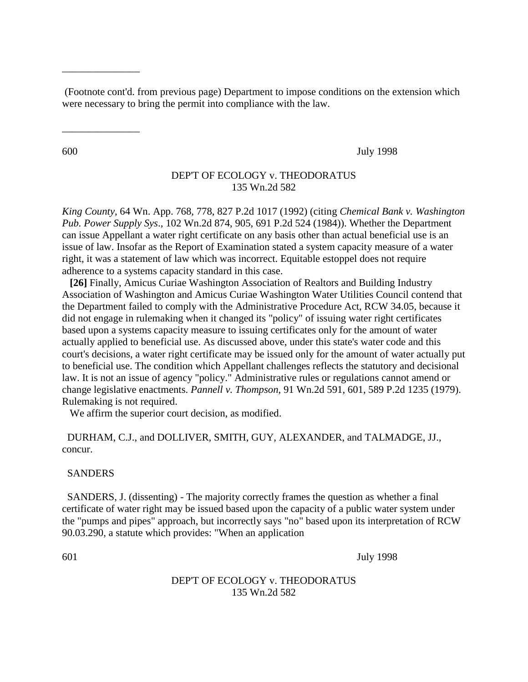(Footnote cont'd. from previous page) Department to impose conditions on the extension which were necessary to bring the permit into compliance with the law.

\_\_\_\_\_\_\_\_\_\_\_\_\_\_\_

\_\_\_\_\_\_\_\_\_\_\_\_\_\_\_

600 July 1998

# DEP'T OF ECOLOGY v. THEODORATUS 135 Wn.2d 582

*King County*, 64 Wn. App. 768, 778, 827 P.2d 1017 (1992) (citing *Chemical Bank v. Washington Pub. Power Supply Sys*., 102 Wn.2d 874, 905, 691 P.2d 524 (1984)). Whether the Department can issue Appellant a water right certificate on any basis other than actual beneficial use is an issue of law. Insofar as the Report of Examination stated a system capacity measure of a water right, it was a statement of law which was incorrect. Equitable estoppel does not require adherence to a systems capacity standard in this case.

 **[26]** Finally, Amicus Curiae Washington Association of Realtors and Building Industry Association of Washington and Amicus Curiae Washington Water Utilities Council contend that the Department failed to comply with the Administrative Procedure Act, RCW 34.05, because it did not engage in rulemaking when it changed its "policy" of issuing water right certificates based upon a systems capacity measure to issuing certificates only for the amount of water actually applied to beneficial use. As discussed above, under this state's water code and this court's decisions, a water right certificate may be issued only for the amount of water actually put to beneficial use. The condition which Appellant challenges reflects the statutory and decisional law. It is not an issue of agency "policy." Administrative rules or regulations cannot amend or change legislative enactments. *Pannell v. Thompson*, 91 Wn.2d 591, 601, 589 P.2d 1235 (1979). Rulemaking is not required.

We affirm the superior court decision, as modified.

DURHAM, C.J., and DOLLIVER, SMITH, GUY, ALEXANDER, and TALMADGE, JJ., concur.

#### SANDERS

SANDERS, J. (dissenting) - The majority correctly frames the question as whether a final certificate of water right may be issued based upon the capacity of a public water system under the "pumps and pipes" approach, but incorrectly says "no" based upon its interpretation of RCW 90.03.290, a statute which provides: "When an application

601 July 1998

## DEP'T OF ECOLOGY v. THEODORATUS 135 Wn.2d 582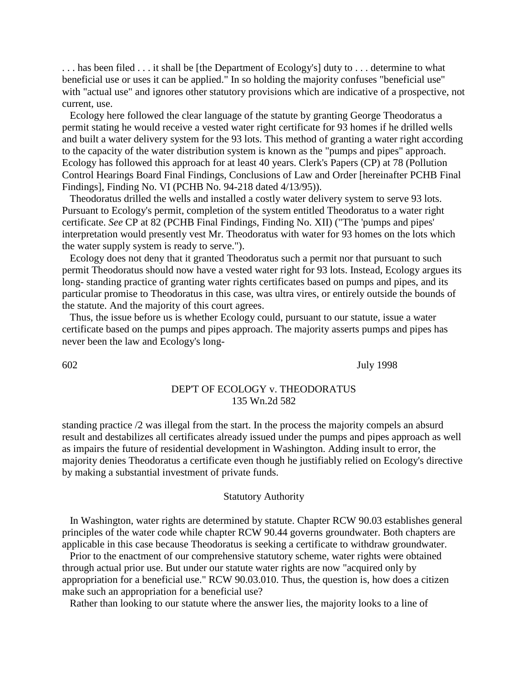. . . has been filed . . . it shall be [the Department of Ecology's] duty to . . . determine to what beneficial use or uses it can be applied." In so holding the majority confuses "beneficial use" with "actual use" and ignores other statutory provisions which are indicative of a prospective, not current, use.

 Ecology here followed the clear language of the statute by granting George Theodoratus a permit stating he would receive a vested water right certificate for 93 homes if he drilled wells and built a water delivery system for the 93 lots. This method of granting a water right according to the capacity of the water distribution system is known as the "pumps and pipes" approach. Ecology has followed this approach for at least 40 years. Clerk's Papers (CP) at 78 (Pollution Control Hearings Board Final Findings, Conclusions of Law and Order [hereinafter PCHB Final Findings], Finding No. VI (PCHB No. 94-218 dated 4/13/95)).

 Theodoratus drilled the wells and installed a costly water delivery system to serve 93 lots. Pursuant to Ecology's permit, completion of the system entitled Theodoratus to a water right certificate. *See* CP at 82 (PCHB Final Findings, Finding No. XII) ("The 'pumps and pipes' interpretation would presently vest Mr. Theodoratus with water for 93 homes on the lots which the water supply system is ready to serve.").

 Ecology does not deny that it granted Theodoratus such a permit nor that pursuant to such permit Theodoratus should now have a vested water right for 93 lots. Instead, Ecology argues its long- standing practice of granting water rights certificates based on pumps and pipes, and its particular promise to Theodoratus in this case, was ultra vires, or entirely outside the bounds of the statute. And the majority of this court agrees.

 Thus, the issue before us is whether Ecology could, pursuant to our statute, issue a water certificate based on the pumps and pipes approach. The majority asserts pumps and pipes has never been the law and Ecology's long-

602 July 1998

#### DEP'T OF ECOLOGY v. THEODORATUS 135 Wn.2d 582

standing practice /2 was illegal from the start. In the process the majority compels an absurd result and destabilizes all certificates already issued under the pumps and pipes approach as well as impairs the future of residential development in Washington. Adding insult to error, the majority denies Theodoratus a certificate even though he justifiably relied on Ecology's directive by making a substantial investment of private funds.

#### Statutory Authority

 In Washington, water rights are determined by statute. Chapter RCW 90.03 establishes general principles of the water code while chapter RCW 90.44 governs groundwater. Both chapters are applicable in this case because Theodoratus is seeking a certificate to withdraw groundwater.

 Prior to the enactment of our comprehensive statutory scheme, water rights were obtained through actual prior use. But under our statute water rights are now "acquired only by appropriation for a beneficial use." RCW 90.03.010. Thus, the question is, how does a citizen make such an appropriation for a beneficial use?

Rather than looking to our statute where the answer lies, the majority looks to a line of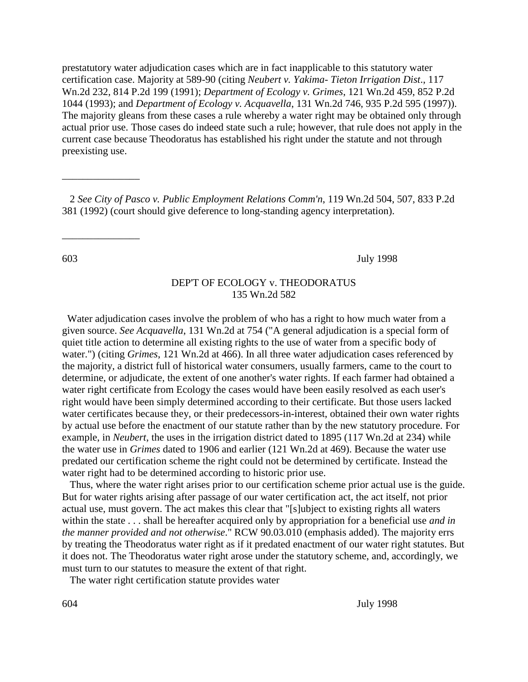prestatutory water adjudication cases which are in fact inapplicable to this statutory water certification case. Majority at 589-90 (citing *Neubert v. Yakima- Tieton Irrigation Dist*., 117 Wn.2d 232, 814 P.2d 199 (1991); *Department of Ecology v. Grimes*, 121 Wn.2d 459, 852 P.2d 1044 (1993); and *Department of Ecology v. Acquavella*, 131 Wn.2d 746, 935 P.2d 595 (1997)). The majority gleans from these cases a rule whereby a water right may be obtained only through actual prior use. Those cases do indeed state such a rule; however, that rule does not apply in the current case because Theodoratus has established his right under the statute and not through preexisting use.

 2 *See City of Pasco v. Public Employment Relations Comm'n*, 119 Wn.2d 504, 507, 833 P.2d 381 (1992) (court should give deference to long-standing agency interpretation).

 $\overline{\phantom{a}}$  , where  $\overline{\phantom{a}}$ 

 $\overline{\phantom{a}}$  , where  $\overline{\phantom{a}}$ 

603 July 1998

## DEP'T OF ECOLOGY v. THEODORATUS 135 Wn.2d 582

Water adjudication cases involve the problem of who has a right to how much water from a given source. *See Acquavella*, 131 Wn.2d at 754 ("A general adjudication is a special form of quiet title action to determine all existing rights to the use of water from a specific body of water.") (citing *Grimes*, 121 Wn.2d at 466). In all three water adjudication cases referenced by the majority, a district full of historical water consumers, usually farmers, came to the court to determine, or adjudicate, the extent of one another's water rights. If each farmer had obtained a water right certificate from Ecology the cases would have been easily resolved as each user's right would have been simply determined according to their certificate. But those users lacked water certificates because they, or their predecessors-in-interest, obtained their own water rights by actual use before the enactment of our statute rather than by the new statutory procedure. For example, in *Neubert*, the uses in the irrigation district dated to 1895 (117 Wn.2d at 234) while the water use in *Grimes* dated to 1906 and earlier (121 Wn.2d at 469). Because the water use predated our certification scheme the right could not be determined by certificate. Instead the water right had to be determined according to historic prior use.

 Thus, where the water right arises prior to our certification scheme prior actual use is the guide. But for water rights arising after passage of our water certification act, the act itself, not prior actual use, must govern. The act makes this clear that "[s]ubject to existing rights all waters within the state . . . shall be hereafter acquired only by appropriation for a beneficial use *and in the manner provided and not otherwise*." RCW 90.03.010 (emphasis added). The majority errs by treating the Theodoratus water right as if it predated enactment of our water right statutes. But it does not. The Theodoratus water right arose under the statutory scheme, and, accordingly, we must turn to our statutes to measure the extent of that right.

The water right certification statute provides water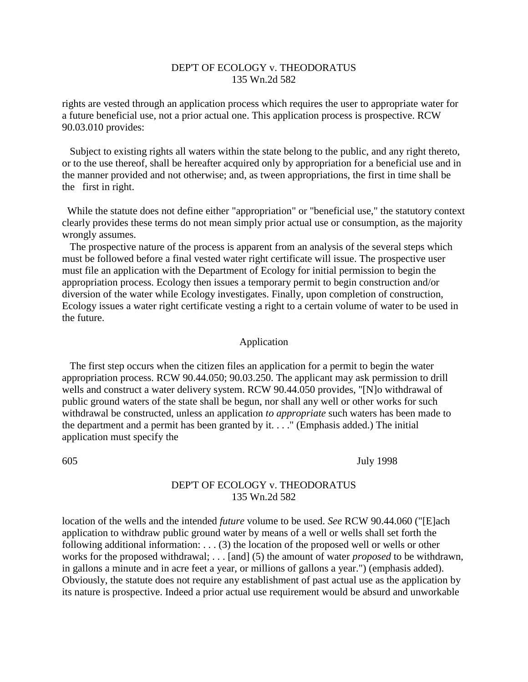# DEP'T OF ECOLOGY v. THEODORATUS 135 Wn.2d 582

rights are vested through an application process which requires the user to appropriate water for a future beneficial use, not a prior actual one. This application process is prospective. RCW 90.03.010 provides:

 Subject to existing rights all waters within the state belong to the public, and any right thereto, or to the use thereof, shall be hereafter acquired only by appropriation for a beneficial use and in the manner provided and not otherwise; and, as tween appropriations, the first in time shall be the first in right.

While the statute does not define either "appropriation" or "beneficial use," the statutory context clearly provides these terms do not mean simply prior actual use or consumption, as the majority wrongly assumes.

 The prospective nature of the process is apparent from an analysis of the several steps which must be followed before a final vested water right certificate will issue. The prospective user must file an application with the Department of Ecology for initial permission to begin the appropriation process. Ecology then issues a temporary permit to begin construction and/or diversion of the water while Ecology investigates. Finally, upon completion of construction, Ecology issues a water right certificate vesting a right to a certain volume of water to be used in the future.

#### Application

 The first step occurs when the citizen files an application for a permit to begin the water appropriation process. RCW 90.44.050; 90.03.250. The applicant may ask permission to drill wells and construct a water delivery system. RCW 90.44.050 provides, "[N]o withdrawal of public ground waters of the state shall be begun, nor shall any well or other works for such withdrawal be constructed, unless an application *to appropriate* such waters has been made to the department and a permit has been granted by it.  $\ldots$  (Emphasis added.) The initial application must specify the

#### 605 July 1998

# DEP'T OF ECOLOGY v. THEODORATUS 135 Wn.2d 582

location of the wells and the intended *future* volume to be used. *See* RCW 90.44.060 ("[E]ach application to withdraw public ground water by means of a well or wells shall set forth the following additional information: . . . (3) the location of the proposed well or wells or other works for the proposed withdrawal; . . . [and] (5) the amount of water *proposed* to be withdrawn, in gallons a minute and in acre feet a year, or millions of gallons a year.") (emphasis added). Obviously, the statute does not require any establishment of past actual use as the application by its nature is prospective. Indeed a prior actual use requirement would be absurd and unworkable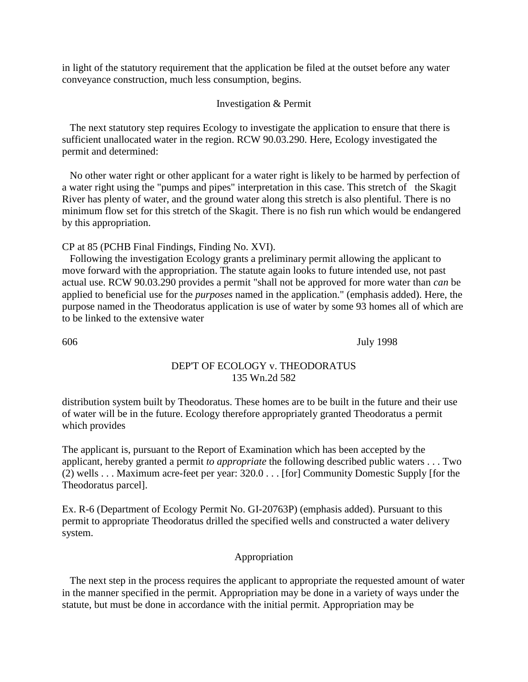in light of the statutory requirement that the application be filed at the outset before any water conveyance construction, much less consumption, begins.

## Investigation & Permit

 The next statutory step requires Ecology to investigate the application to ensure that there is sufficient unallocated water in the region. RCW 90.03.290. Here, Ecology investigated the permit and determined:

 No other water right or other applicant for a water right is likely to be harmed by perfection of a water right using the "pumps and pipes" interpretation in this case. This stretch of the Skagit River has plenty of water, and the ground water along this stretch is also plentiful. There is no minimum flow set for this stretch of the Skagit. There is no fish run which would be endangered by this appropriation.

CP at 85 (PCHB Final Findings, Finding No. XVI).

 Following the investigation Ecology grants a preliminary permit allowing the applicant to move forward with the appropriation. The statute again looks to future intended use, not past actual use. RCW 90.03.290 provides a permit "shall not be approved for more water than *can* be applied to beneficial use for the *purposes* named in the application." (emphasis added). Here, the purpose named in the Theodoratus application is use of water by some 93 homes all of which are to be linked to the extensive water

606 July 1998

# DEP'T OF ECOLOGY v. THEODORATUS 135 Wn.2d 582

distribution system built by Theodoratus. These homes are to be built in the future and their use of water will be in the future. Ecology therefore appropriately granted Theodoratus a permit which provides

The applicant is, pursuant to the Report of Examination which has been accepted by the applicant, hereby granted a permit *to appropriate* the following described public waters . . . Two (2) wells . . . Maximum acre-feet per year: 320.0 . . . [for] Community Domestic Supply [for the Theodoratus parcel].

Ex. R-6 (Department of Ecology Permit No. GI-20763P) (emphasis added). Pursuant to this permit to appropriate Theodoratus drilled the specified wells and constructed a water delivery system.

# Appropriation

 The next step in the process requires the applicant to appropriate the requested amount of water in the manner specified in the permit. Appropriation may be done in a variety of ways under the statute, but must be done in accordance with the initial permit. Appropriation may be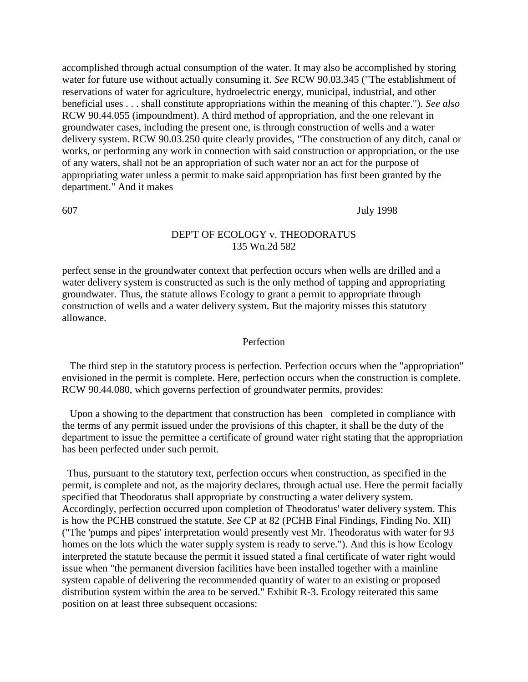accomplished through actual consumption of the water. It may also be accomplished by storing water for future use without actually consuming it. *See* RCW 90.03.345 ("The establishment of reservations of water for agriculture, hydroelectric energy, municipal, industrial, and other beneficial uses . . . shall constitute appropriations within the meaning of this chapter."). *See also* RCW 90.44.055 (impoundment). A third method of appropriation, and the one relevant in groundwater cases, including the present one, is through construction of wells and a water delivery system. RCW 90.03.250 quite clearly provides, "The construction of any ditch, canal or works, or performing any work in connection with said construction or appropriation, or the use of any waters, shall not be an appropriation of such water nor an act for the purpose of appropriating water unless a permit to make said appropriation has first been granted by the department." And it makes

#### 607 July 1998

# DEP'T OF ECOLOGY v. THEODORATUS 135 Wn.2d 582

perfect sense in the groundwater context that perfection occurs when wells are drilled and a water delivery system is constructed as such is the only method of tapping and appropriating groundwater. Thus, the statute allows Ecology to grant a permit to appropriate through construction of wells and a water delivery system. But the majority misses this statutory allowance.

#### Perfection

 The third step in the statutory process is perfection. Perfection occurs when the "appropriation" envisioned in the permit is complete. Here, perfection occurs when the construction is complete. RCW 90.44.080, which governs perfection of groundwater permits, provides:

 Upon a showing to the department that construction has been completed in compliance with the terms of any permit issued under the provisions of this chapter, it shall be the duty of the department to issue the permittee a certificate of ground water right stating that the appropriation has been perfected under such permit.

Thus, pursuant to the statutory text, perfection occurs when construction, as specified in the permit, is complete and not, as the majority declares, through actual use. Here the permit facially specified that Theodoratus shall appropriate by constructing a water delivery system. Accordingly, perfection occurred upon completion of Theodoratus' water delivery system. This is how the PCHB construed the statute. *See* CP at 82 (PCHB Final Findings, Finding No. XII) ("The 'pumps and pipes' interpretation would presently vest Mr. Theodoratus with water for 93 homes on the lots which the water supply system is ready to serve."). And this is how Ecology interpreted the statute because the permit it issued stated a final certificate of water right would issue when "the permanent diversion facilities have been installed together with a mainline system capable of delivering the recommended quantity of water to an existing or proposed distribution system within the area to be served." Exhibit R-3. Ecology reiterated this same position on at least three subsequent occasions: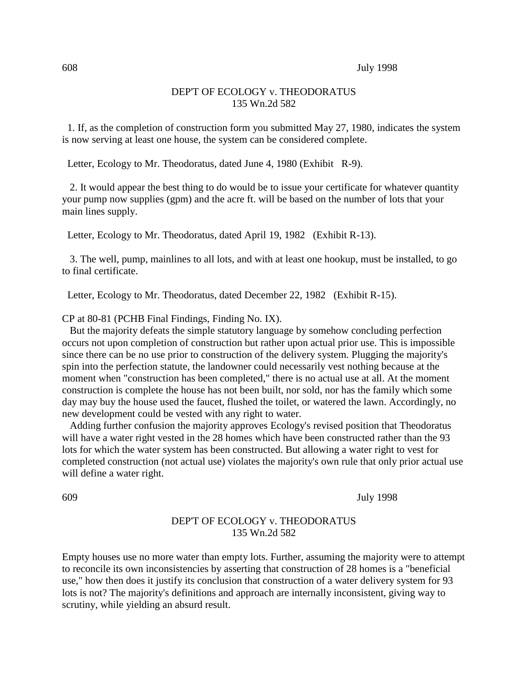### DEP'T OF ECOLOGY v. THEODORATUS 135 Wn.2d 582

1. If, as the completion of construction form you submitted May 27, 1980, indicates the system is now serving at least one house, the system can be considered complete.

Letter, Ecology to Mr. Theodoratus, dated June 4, 1980 (Exhibit R-9).

 2. It would appear the best thing to do would be to issue your certificate for whatever quantity your pump now supplies (gpm) and the acre ft. will be based on the number of lots that your main lines supply.

Letter, Ecology to Mr. Theodoratus, dated April 19, 1982 (Exhibit R-13).

 3. The well, pump, mainlines to all lots, and with at least one hookup, must be installed, to go to final certificate.

Letter, Ecology to Mr. Theodoratus, dated December 22, 1982 (Exhibit R-15).

CP at 80-81 (PCHB Final Findings, Finding No. IX).

 But the majority defeats the simple statutory language by somehow concluding perfection occurs not upon completion of construction but rather upon actual prior use. This is impossible since there can be no use prior to construction of the delivery system. Plugging the majority's spin into the perfection statute, the landowner could necessarily vest nothing because at the moment when "construction has been completed," there is no actual use at all. At the moment construction is complete the house has not been built, nor sold, nor has the family which some day may buy the house used the faucet, flushed the toilet, or watered the lawn. Accordingly, no new development could be vested with any right to water.

 Adding further confusion the majority approves Ecology's revised position that Theodoratus will have a water right vested in the 28 homes which have been constructed rather than the 93 lots for which the water system has been constructed. But allowing a water right to vest for completed construction (not actual use) violates the majority's own rule that only prior actual use will define a water right.

609 July 1998

# DEP'T OF ECOLOGY v. THEODORATUS 135 Wn.2d 582

Empty houses use no more water than empty lots. Further, assuming the majority were to attempt to reconcile its own inconsistencies by asserting that construction of 28 homes is a "beneficial use," how then does it justify its conclusion that construction of a water delivery system for 93 lots is not? The majority's definitions and approach are internally inconsistent, giving way to scrutiny, while yielding an absurd result.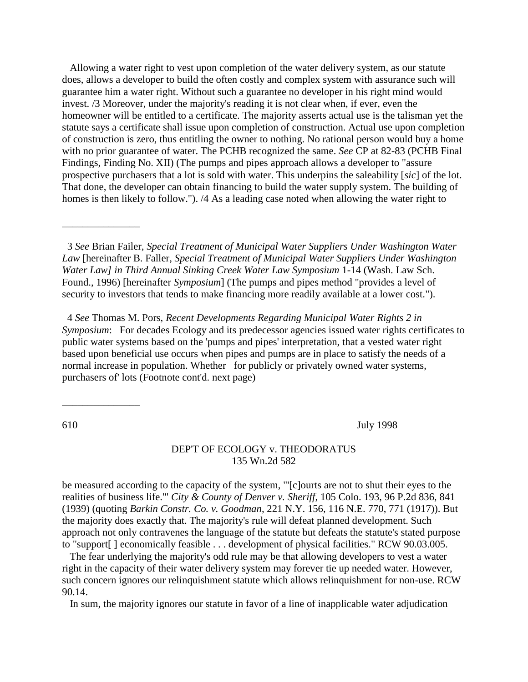Allowing a water right to vest upon completion of the water delivery system, as our statute does, allows a developer to build the often costly and complex system with assurance such will guarantee him a water right. Without such a guarantee no developer in his right mind would invest. /3 Moreover, under the majority's reading it is not clear when, if ever, even the homeowner will be entitled to a certificate. The majority asserts actual use is the talisman yet the statute says a certificate shall issue upon completion of construction. Actual use upon completion of construction is zero, thus entitling the owner to nothing. No rational person would buy a home with no prior guarantee of water. The PCHB recognized the same. *See* CP at 82-83 (PCHB Final Findings, Finding No. XII) (The pumps and pipes approach allows a developer to "assure prospective purchasers that a lot is sold with water. This underpins the saleability [*sic*] of the lot. That done, the developer can obtain financing to build the water supply system. The building of homes is then likely to follow."). /4 As a leading case noted when allowing the water right to

3 *See* Brian Failer, *Special Treatment of Municipal Water Suppliers Under Washington Water Law* [hereinafter B. Faller, *Special Treatment of Municipal Water Suppliers Under Washington Water Law] in Third Annual Sinking Creek Water Law Symposium* 1-14 (Wash. Law Sch. Found., 1996) [hereinafter *Symposium*] (The pumps and pipes method "provides a level of security to investors that tends to make financing more readily available at a lower cost.").

4 *See* Thomas M. Pors, *Recent Developments Regarding Municipal Water Rights 2 in Symposium*: For decades Ecology and its predecessor agencies issued water rights certificates to public water systems based on the 'pumps and pipes' interpretation, that a vested water right based upon beneficial use occurs when pipes and pumps are in place to satisfy the needs of a normal increase in population. Whether for publicly or privately owned water systems, purchasers of' lots (Footnote cont'd. next page)

\_\_\_\_\_\_\_\_\_\_\_\_\_\_\_

\_\_\_\_\_\_\_\_\_\_\_\_\_\_\_

610 July 1998

#### DEP'T OF ECOLOGY v. THEODORATUS 135 Wn.2d 582

be measured according to the capacity of the system, "'[c]ourts are not to shut their eyes to the realities of business life.'" *City & County of Denver v. Sheriff*, 105 Colo. 193, 96 P.2d 836, 841 (1939) (quoting *Barkin Constr. Co. v. Goodman*, 221 N.Y. 156, 116 N.E. 770, 771 (1917)). But the majority does exactly that. The majority's rule will defeat planned development. Such approach not only contravenes the language of the statute but defeats the statute's stated purpose to "support[ ] economically feasible . . . development of physical facilities." RCW 90.03.005.

 The fear underlying the majority's odd rule may be that allowing developers to vest a water right in the capacity of their water delivery system may forever tie up needed water. However, such concern ignores our relinquishment statute which allows relinquishment for non-use. RCW 90.14.

In sum, the majority ignores our statute in favor of a line of inapplicable water adjudication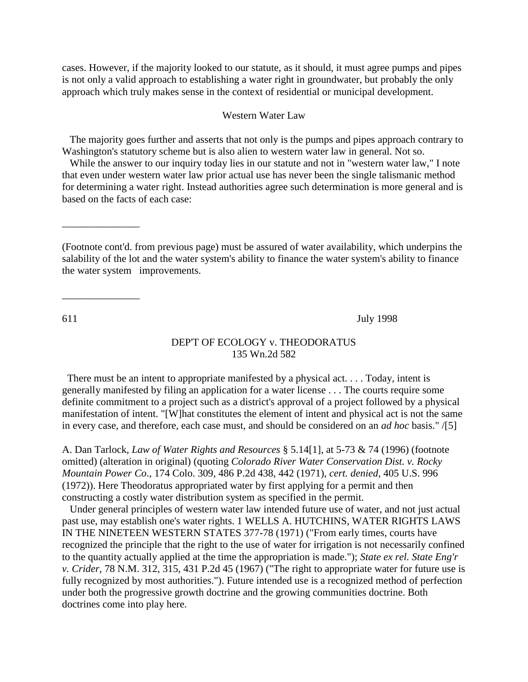cases. However, if the majority looked to our statute, as it should, it must agree pumps and pipes is not only a valid approach to establishing a water right in groundwater, but probably the only approach which truly makes sense in the context of residential or municipal development.

## Western Water Law

 The majority goes further and asserts that not only is the pumps and pipes approach contrary to Washington's statutory scheme but is also alien to western water law in general. Not so.

 While the answer to our inquiry today lies in our statute and not in "western water law," I note that even under western water law prior actual use has never been the single talismanic method for determining a water right. Instead authorities agree such determination is more general and is based on the facts of each case:

(Footnote cont'd. from previous page) must be assured of water availability, which underpins the salability of the lot and the water system's ability to finance the water system's ability to finance the water system improvements.

611 July 1998

#### DEP'T OF ECOLOGY v. THEODORATUS 135 Wn.2d 582

There must be an intent to appropriate manifested by a physical act. . . . Today, intent is generally manifested by filing an application for a water license . . . The courts require some definite commitment to a project such as a district's approval of a project followed by a physical manifestation of intent. "[W]hat constitutes the element of intent and physical act is not the same in every case, and therefore, each case must, and should be considered on an *ad hoc* basis." /[5]

A. Dan Tarlock, *Law of Water Rights and Resources* § 5.14[1], at 5-73 & 74 (1996) (footnote omitted) (alteration in original) (quoting *Colorado River Water Conservation Dist. v. Rocky Mountain Power Co*., 174 Colo. 309, 486 P.2d 438, 442 (1971), *cert. denied*, 405 U.S. 996 (1972)). Here Theodoratus appropriated water by first applying for a permit and then constructing a costly water distribution system as specified in the permit.

 Under general principles of western water law intended future use of water, and not just actual past use, may establish one's water rights. 1 WELLS A. HUTCHINS, WATER RIGHTS LAWS IN THE NINETEEN WESTERN STATES 377-78 (1971) ("From early times, courts have recognized the principle that the right to the use of water for irrigation is not necessarily confined to the quantity actually applied at the time the appropriation is made."); *State ex rel. State Eng'r v. Crider*, 78 N.M. 312, 315, 431 P.2d 45 (1967) ("The right to appropriate water for future use is fully recognized by most authorities."). Future intended use is a recognized method of perfection under both the progressive growth doctrine and the growing communities doctrine. Both doctrines come into play here.

\_\_\_\_\_\_\_\_\_\_\_\_\_\_\_

 $\overline{\phantom{a}}$  , where  $\overline{\phantom{a}}$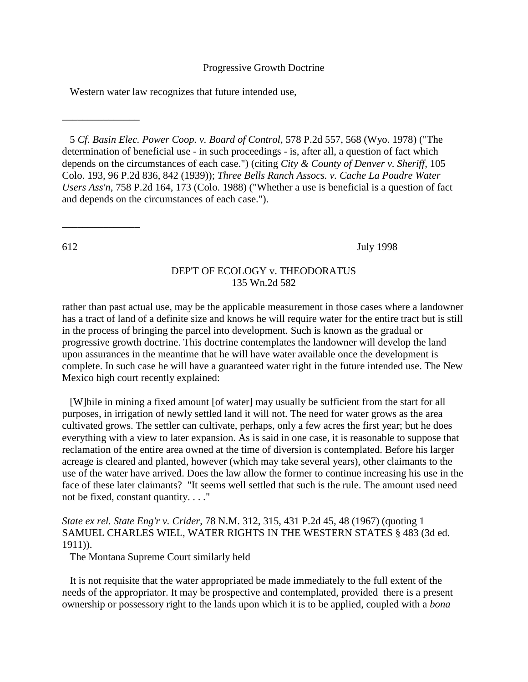#### Progressive Growth Doctrine

Western water law recognizes that future intended use,

 5 *Cf. Basin Elec. Power Coop. v. Board of Control*, 578 P.2d 557, 568 (Wyo. 1978) ("The determination of beneficial use - in such proceedings - is, after all, a question of fact which depends on the circumstances of each case.") (citing *City & County of Denver v. Sheriff*, 105 Colo. 193, 96 P.2d 836, 842 (1939)); *Three Bells Ranch Assocs. v. Cache La Poudre Water Users Ass'n*, 758 P.2d 164, 173 (Colo. 1988) ("Whether a use is beneficial is a question of fact and depends on the circumstances of each case.").

\_\_\_\_\_\_\_\_\_\_\_\_\_\_\_

 $\overline{\phantom{a}}$  , where  $\overline{\phantom{a}}$ 

612 July 1998

#### DEP'T OF ECOLOGY v. THEODORATUS 135 Wn.2d 582

rather than past actual use, may be the applicable measurement in those cases where a landowner has a tract of land of a definite size and knows he will require water for the entire tract but is still in the process of bringing the parcel into development. Such is known as the gradual or progressive growth doctrine. This doctrine contemplates the landowner will develop the land upon assurances in the meantime that he will have water available once the development is complete. In such case he will have a guaranteed water right in the future intended use. The New Mexico high court recently explained:

 [W]hile in mining a fixed amount [of water] may usually be sufficient from the start for all purposes, in irrigation of newly settled land it will not. The need for water grows as the area cultivated grows. The settler can cultivate, perhaps, only a few acres the first year; but he does everything with a view to later expansion. As is said in one case, it is reasonable to suppose that reclamation of the entire area owned at the time of diversion is contemplated. Before his larger acreage is cleared and planted, however (which may take several years), other claimants to the use of the water have arrived. Does the law allow the former to continue increasing his use in the face of these later claimants? "It seems well settled that such is the rule. The amount used need not be fixed, constant quantity. . . ."

# *State ex rel. State Eng'r v. Crider*, 78 N.M. 312, 315, 431 P.2d 45, 48 (1967) (quoting 1 SAMUEL CHARLES WIEL, WATER RIGHTS IN THE WESTERN STATES § 483 (3d ed. 1911)).

The Montana Supreme Court similarly held

 It is not requisite that the water appropriated be made immediately to the full extent of the needs of the appropriator. It may be prospective and contemplated, provided there is a present ownership or possessory right to the lands upon which it is to be applied, coupled with a *bona*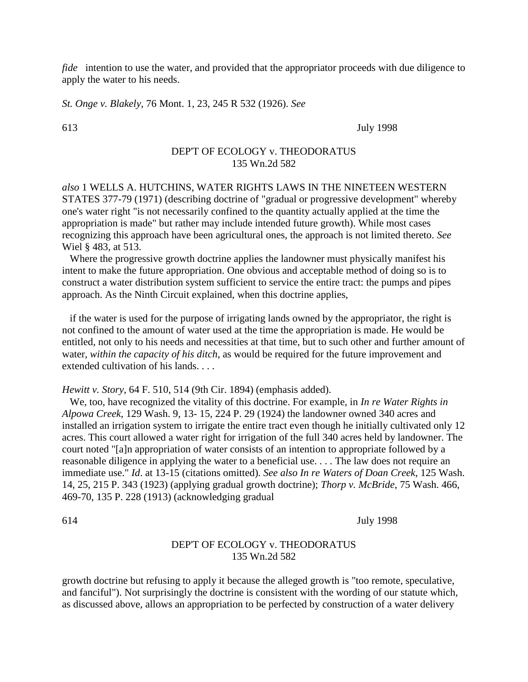*fide* intention to use the water, and provided that the appropriator proceeds with due diligence to apply the water to his needs.

*St. Onge v. Blakely*, 76 Mont. 1, 23, 245 R 532 (1926). *See*

613 July 1998

# DEP'T OF ECOLOGY v. THEODORATUS 135 Wn.2d 582

*also* 1 WELLS A. HUTCHINS, WATER RIGHTS LAWS IN THE NINETEEN WESTERN STATES 377-79 (1971) (describing doctrine of "gradual or progressive development" whereby one's water right "is not necessarily confined to the quantity actually applied at the time the appropriation is made" but rather may include intended future growth). While most cases recognizing this approach have been agricultural ones, the approach is not limited thereto. *See* Wiel § 483, at 513.

 Where the progressive growth doctrine applies the landowner must physically manifest his intent to make the future appropriation. One obvious and acceptable method of doing so is to construct a water distribution system sufficient to service the entire tract: the pumps and pipes approach. As the Ninth Circuit explained, when this doctrine applies,

 if the water is used for the purpose of irrigating lands owned by the appropriator, the right is not confined to the amount of water used at the time the appropriation is made. He would be entitled, not only to his needs and necessities at that time, but to such other and further amount of water, *within the capacity of his ditch*, as would be required for the future improvement and extended cultivation of his lands. . . .

*Hewitt v. Story*, 64 F. 510, 514 (9th Cir. 1894) (emphasis added).

 We, too, have recognized the vitality of this doctrine. For example, in *In re Water Rights in Alpowa Creek*, 129 Wash. 9, 13- 15, 224 P. 29 (1924) the landowner owned 340 acres and installed an irrigation system to irrigate the entire tract even though he initially cultivated only 12 acres. This court allowed a water right for irrigation of the full 340 acres held by landowner. The court noted "[a]n appropriation of water consists of an intention to appropriate followed by a reasonable diligence in applying the water to a beneficial use. . . . The law does not require an immediate use." *Id*. at 13-15 (citations omitted). *See also In re Waters of Doan Creek*, 125 Wash. 14, 25, 215 P. 343 (1923) (applying gradual growth doctrine); *Thorp v. McBride*, 75 Wash. 466, 469-70, 135 P. 228 (1913) (acknowledging gradual

614 July 1998

# DEP'T OF ECOLOGY v. THEODORATUS 135 Wn.2d 582

growth doctrine but refusing to apply it because the alleged growth is "too remote, speculative, and fanciful"). Not surprisingly the doctrine is consistent with the wording of our statute which, as discussed above, allows an appropriation to be perfected by construction of a water delivery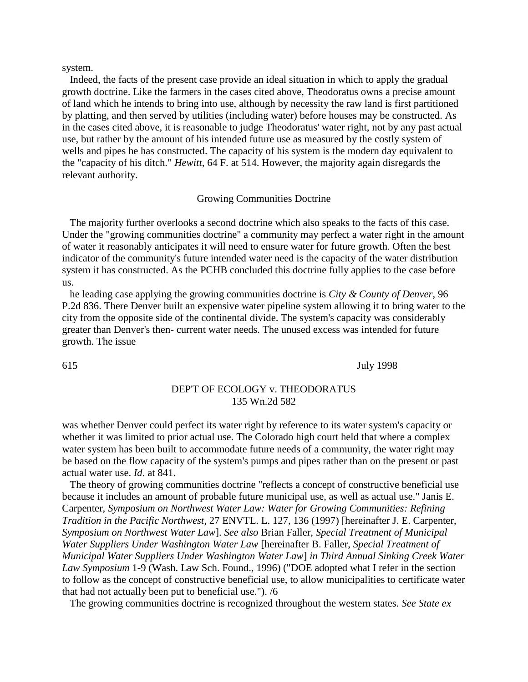system.

 Indeed, the facts of the present case provide an ideal situation in which to apply the gradual growth doctrine. Like the farmers in the cases cited above, Theodoratus owns a precise amount of land which he intends to bring into use, although by necessity the raw land is first partitioned by platting, and then served by utilities (including water) before houses may be constructed. As in the cases cited above, it is reasonable to judge Theodoratus' water right, not by any past actual use, but rather by the amount of his intended future use as measured by the costly system of wells and pipes he has constructed. The capacity of his system is the modern day equivalent to the "capacity of his ditch." *Hewitt*, 64 F. at 514. However, the majority again disregards the relevant authority.

#### Growing Communities Doctrine

 The majority further overlooks a second doctrine which also speaks to the facts of this case. Under the "growing communities doctrine" a community may perfect a water right in the amount of water it reasonably anticipates it will need to ensure water for future growth. Often the best indicator of the community's future intended water need is the capacity of the water distribution system it has constructed. As the PCHB concluded this doctrine fully applies to the case before us.

 he leading case applying the growing communities doctrine is *City & County of Denver*, 96 P.2d 836. There Denver built an expensive water pipeline system allowing it to bring water to the city from the opposite side of the continental divide. The system's capacity was considerably greater than Denver's then- current water needs. The unused excess was intended for future growth. The issue

615 July 1998

## DEP'T OF ECOLOGY v. THEODORATUS 135 Wn.2d 582

was whether Denver could perfect its water right by reference to its water system's capacity or whether it was limited to prior actual use. The Colorado high court held that where a complex water system has been built to accommodate future needs of a community, the water right may be based on the flow capacity of the system's pumps and pipes rather than on the present or past actual water use. *Id*. at 841.

 The theory of growing communities doctrine "reflects a concept of constructive beneficial use because it includes an amount of probable future municipal use, as well as actual use." Janis E. Carpenter, *Symposium on Northwest Water Law: Water for Growing Communities: Refining Tradition in the Pacific Northwest*, 27 ENVTL. L. 127, 136 (1997) [hereinafter J. E. Carpenter, *Symposium on Northwest Water Law*]. *See also* Brian Faller, *Special Treatment of Municipal Water Suppliers Under Washington Water Law* [hereinafter B. Faller, *Special Treatment of Municipal Water Suppliers Under Washington Water Law*] *in Third Annual Sinking Creek Water Law Symposium* 1-9 (Wash. Law Sch. Found., 1996) ("DOE adopted what I refer in the section to follow as the concept of constructive beneficial use, to allow municipalities to certificate water that had not actually been put to beneficial use."). /6

The growing communities doctrine is recognized throughout the western states. *See State ex*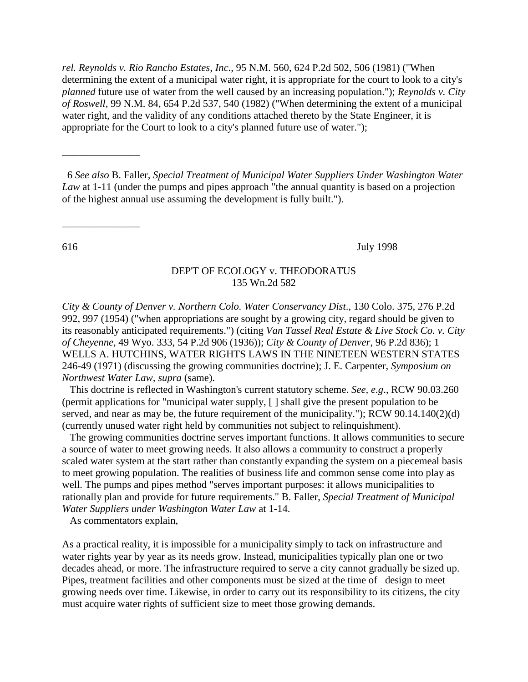*rel. Reynolds v. Rio Rancho Estates, Inc*., 95 N.M. 560, 624 P.2d 502, 506 (1981) ("When determining the extent of a municipal water right, it is appropriate for the court to look to a city's *planned* future use of water from the well caused by an increasing population."); *Reynolds v. City of Roswell*, 99 N.M. 84, 654 P.2d 537, 540 (1982) ("When determining the extent of a municipal water right, and the validity of any conditions attached thereto by the State Engineer, it is appropriate for the Court to look to a city's planned future use of water.");

6 *See also* B. Faller, *Special Treatment of Municipal Water Suppliers Under Washington Water Law* at 1-11 (under the pumps and pipes approach "the annual quantity is based on a projection of the highest annual use assuming the development is fully built.").

\_\_\_\_\_\_\_\_\_\_\_\_\_\_\_

\_\_\_\_\_\_\_\_\_\_\_\_\_\_\_

616 July 1998

#### DEP'T OF ECOLOGY v. THEODORATUS 135 Wn.2d 582

*City & County of Denver v. Northern Colo. Water Conservancy Dist*., 130 Colo. 375, 276 P.2d 992, 997 (1954) ("when appropriations are sought by a growing city, regard should be given to its reasonably anticipated requirements.") (citing *Van Tassel Real Estate & Live Stock Co. v. City of Cheyenne*, 49 Wyo. 333, 54 P.2d 906 (1936)); *City & County of Denver*, 96 P.2d 836); 1 WELLS A. HUTCHINS, WATER RIGHTS LAWS IN THE NINETEEN WESTERN STATES 246-49 (1971) (discussing the growing communities doctrine); J. E. Carpenter, *Symposium on Northwest Water Law, supra* (same).

 This doctrine is reflected in Washington's current statutory scheme. *See, e.g*., RCW 90.03.260 (permit applications for "municipal water supply, [ ] shall give the present population to be served, and near as may be, the future requirement of the municipality."); RCW 90.14.140(2)(d) (currently unused water right held by communities not subject to relinquishment).

 The growing communities doctrine serves important functions. It allows communities to secure a source of water to meet growing needs. It also allows a community to construct a properly scaled water system at the start rather than constantly expanding the system on a piecemeal basis to meet growing population. The realities of business life and common sense come into play as well. The pumps and pipes method "serves important purposes: it allows municipalities to rationally plan and provide for future requirements." B. Faller, *Special Treatment of Municipal Water Suppliers under Washington Water Law* at 1-14.

As commentators explain,

As a practical reality, it is impossible for a municipality simply to tack on infrastructure and water rights year by year as its needs grow. Instead, municipalities typically plan one or two decades ahead, or more. The infrastructure required to serve a city cannot gradually be sized up. Pipes, treatment facilities and other components must be sized at the time of design to meet growing needs over time. Likewise, in order to carry out its responsibility to its citizens, the city must acquire water rights of sufficient size to meet those growing demands.